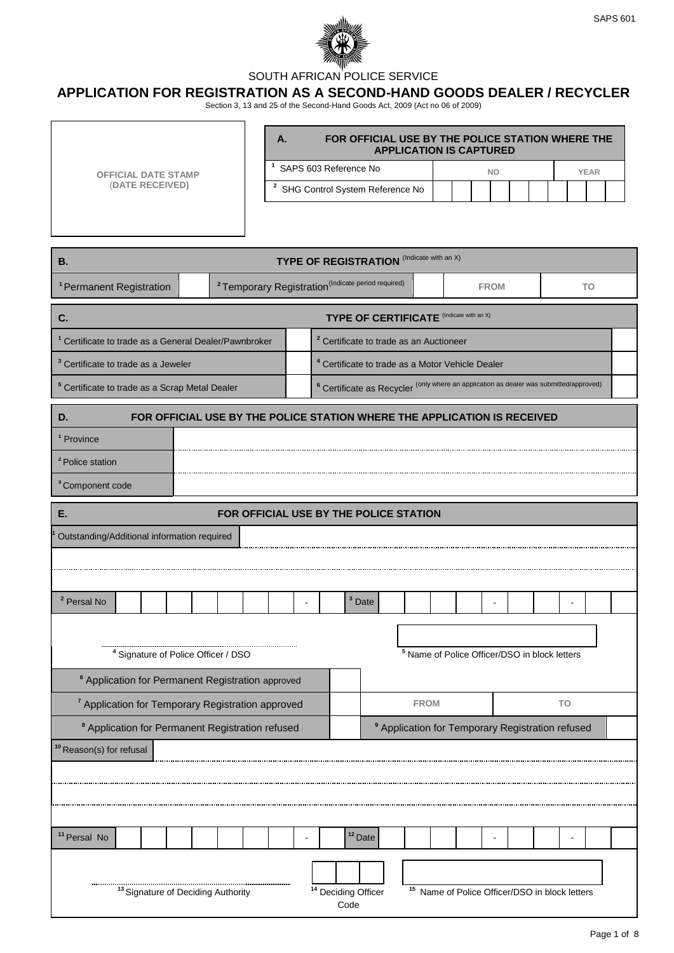



## SOUTH AFRICAN POLICE SERVICE

## **APPLICATION FOR REGISTRATION AS A SECOND-HAND GOODS DEALER / RECYCLER**

Section 3, 13 and 25 of the Second-Hand Goods Act, 2009 (Act no 06 of 2009)

| <b>OFFICIAL DATE STAMP</b><br>(DATE RECEIVED)                                  |                                                                                                                                                                           | FOR OFFICIAL USE BY THE POLICE STATION WHERE THE<br>Α.<br><b>APPLICATION IS CAPTURED</b><br><sup>1</sup> SAPS 603 Reference No<br><b>YEAR</b><br><b>NO</b><br><sup>2</sup> SHG Control System Reference No |  |                                                             |                                                             |  |                                             |             |  |  |    |    |
|--------------------------------------------------------------------------------|---------------------------------------------------------------------------------------------------------------------------------------------------------------------------|------------------------------------------------------------------------------------------------------------------------------------------------------------------------------------------------------------|--|-------------------------------------------------------------|-------------------------------------------------------------|--|---------------------------------------------|-------------|--|--|----|----|
|                                                                                |                                                                                                                                                                           |                                                                                                                                                                                                            |  | <b>TYPE OF REGISTRATION</b> (Indicate with an X)            |                                                             |  |                                             |             |  |  |    |    |
| В.                                                                             | <sup>2</sup> Temporary Registration <sup>(Indicate period required)</sup>                                                                                                 |                                                                                                                                                                                                            |  |                                                             |                                                             |  |                                             |             |  |  |    |    |
| <sup>1</sup> Permanent Registration                                            |                                                                                                                                                                           |                                                                                                                                                                                                            |  |                                                             |                                                             |  |                                             | <b>FROM</b> |  |  |    | TO |
| C.                                                                             |                                                                                                                                                                           |                                                                                                                                                                                                            |  | <b>TYPE OF CERTIFICATE</b> (Indicate with an X)             |                                                             |  |                                             |             |  |  |    |    |
| <sup>1</sup> Certificate to trade as a General Dealer/Pawnbroker               |                                                                                                                                                                           |                                                                                                                                                                                                            |  | <sup>2</sup> Certificate to trade as an Auctioneer          |                                                             |  |                                             |             |  |  |    |    |
| <sup>3</sup> Certificate to trade as a Jeweler                                 |                                                                                                                                                                           |                                                                                                                                                                                                            |  | <sup>4</sup> Certificate to trade as a Motor Vehicle Dealer |                                                             |  |                                             |             |  |  |    |    |
|                                                                                | <sup>6</sup> Certificate as Recycler <sup>(only where an application as dealer was submitted/approved)</sup><br><sup>5</sup> Certificate to trade as a Scrap Metal Dealer |                                                                                                                                                                                                            |  |                                                             |                                                             |  |                                             |             |  |  |    |    |
| FOR OFFICIAL USE BY THE POLICE STATION WHERE THE APPLICATION IS RECEIVED<br>D. |                                                                                                                                                                           |                                                                                                                                                                                                            |  |                                                             |                                                             |  |                                             |             |  |  |    |    |
| <sup>1</sup> Province                                                          |                                                                                                                                                                           |                                                                                                                                                                                                            |  |                                                             |                                                             |  |                                             |             |  |  |    |    |
| <sup>2</sup> Police station                                                    |                                                                                                                                                                           |                                                                                                                                                                                                            |  |                                                             |                                                             |  |                                             |             |  |  |    |    |
| <sup>3</sup> Component code                                                    |                                                                                                                                                                           |                                                                                                                                                                                                            |  |                                                             |                                                             |  |                                             |             |  |  |    |    |
| Е.                                                                             | FOR OFFICIAL USE BY THE POLICE STATION                                                                                                                                    |                                                                                                                                                                                                            |  |                                                             |                                                             |  |                                             |             |  |  |    |    |
| Outstanding/Additional information required                                    |                                                                                                                                                                           |                                                                                                                                                                                                            |  |                                                             |                                                             |  |                                             |             |  |  |    |    |
|                                                                                |                                                                                                                                                                           |                                                                                                                                                                                                            |  |                                                             |                                                             |  |                                             |             |  |  |    |    |
|                                                                                |                                                                                                                                                                           |                                                                                                                                                                                                            |  |                                                             |                                                             |  |                                             |             |  |  |    |    |
| <sup>2</sup> Persal No                                                         |                                                                                                                                                                           |                                                                                                                                                                                                            |  | <sup>3</sup> Date                                           |                                                             |  |                                             |             |  |  |    |    |
|                                                                                |                                                                                                                                                                           |                                                                                                                                                                                                            |  |                                                             |                                                             |  |                                             |             |  |  |    |    |
| <sup>4</sup> Signature of Police Officer / DSO                                 |                                                                                                                                                                           |                                                                                                                                                                                                            |  |                                                             | <sup>5</sup> Name of Police Officer/DSO in block letters    |  |                                             |             |  |  |    |    |
| <sup>6</sup> Application for Permanent Registration approved                   |                                                                                                                                                                           |                                                                                                                                                                                                            |  |                                                             |                                                             |  |                                             |             |  |  |    |    |
| <sup>7</sup> Application for Temporary Registration approved                   |                                                                                                                                                                           |                                                                                                                                                                                                            |  |                                                             | <b>FROM</b>                                                 |  |                                             |             |  |  | TO |    |
| <sup>8</sup> Application for Permanent Registration refused                    |                                                                                                                                                                           |                                                                                                                                                                                                            |  |                                                             | <sup>9</sup> Application for Temporary Registration refused |  |                                             |             |  |  |    |    |
| <sup>10</sup> Reason(s) for refusal                                            |                                                                                                                                                                           |                                                                                                                                                                                                            |  |                                                             |                                                             |  |                                             |             |  |  |    |    |
|                                                                                |                                                                                                                                                                           |                                                                                                                                                                                                            |  |                                                             |                                                             |  |                                             |             |  |  |    |    |
|                                                                                |                                                                                                                                                                           |                                                                                                                                                                                                            |  |                                                             |                                                             |  |                                             |             |  |  |    |    |
|                                                                                |                                                                                                                                                                           |                                                                                                                                                                                                            |  |                                                             |                                                             |  |                                             |             |  |  |    |    |
| <sup>11</sup> Persal No                                                        |                                                                                                                                                                           |                                                                                                                                                                                                            |  | $12$ Date                                                   |                                                             |  |                                             |             |  |  |    |    |
|                                                                                |                                                                                                                                                                           |                                                                                                                                                                                                            |  |                                                             |                                                             |  |                                             |             |  |  |    |    |
| <sup>13</sup> Signature of Deciding Authority                                  |                                                                                                                                                                           |                                                                                                                                                                                                            |  | <sup>14</sup> Deciding Officer<br>Code                      | 15                                                          |  | Name of Police Officer/DSO in block letters |             |  |  |    |    |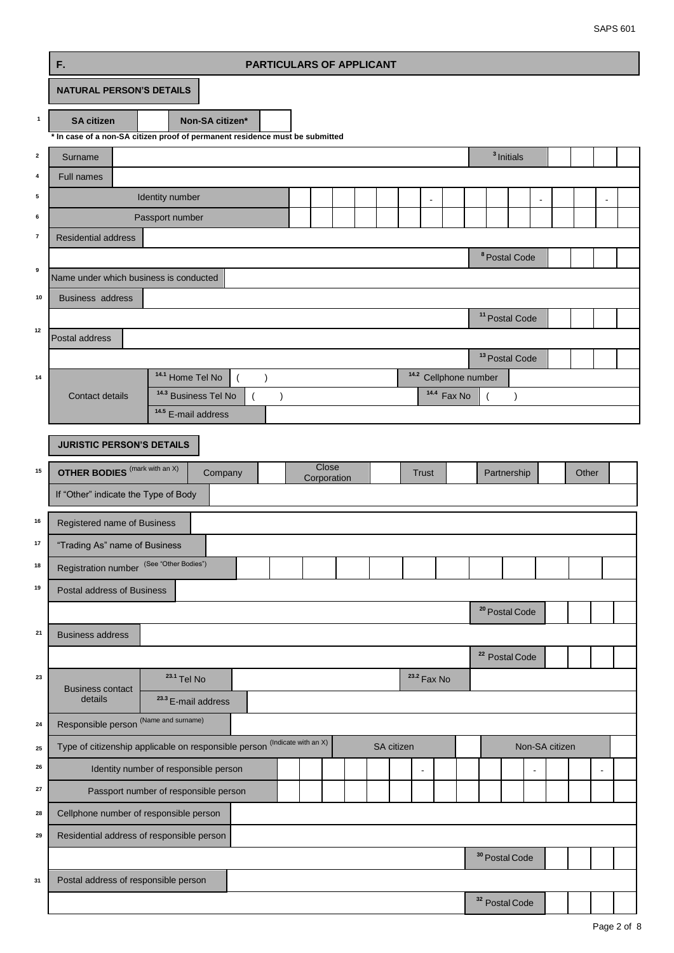SAPS 601

|                          | F.<br><b>PARTICULARS OF APPLICANT</b>                                                                                 |  |            |                                  |                        |                |                           |                |       |                |  |  |  |
|--------------------------|-----------------------------------------------------------------------------------------------------------------------|--|------------|----------------------------------|------------------------|----------------|---------------------------|----------------|-------|----------------|--|--|--|
|                          | <b>NATURAL PERSON'S DETAILS</b>                                                                                       |  |            |                                  |                        |                |                           |                |       |                |  |  |  |
| $\mathbf{1}$             | <b>SA citizen</b><br>Non-SA citizen*                                                                                  |  |            |                                  |                        |                |                           |                |       |                |  |  |  |
| $\mathbf{2}$             | * In case of a non-SA citizen proof of permanent residence must be submitted<br>Surname                               |  |            |                                  |                        |                | <sup>3</sup> Initials     |                |       |                |  |  |  |
| 4                        | Full names                                                                                                            |  |            |                                  |                        |                |                           |                |       |                |  |  |  |
| 5                        | Identity number                                                                                                       |  |            | $\overline{a}$                   |                        |                |                           |                |       |                |  |  |  |
| 6                        | Passport number                                                                                                       |  |            |                                  |                        |                |                           |                |       |                |  |  |  |
| $\overline{\phantom{a}}$ | Residential address                                                                                                   |  |            |                                  |                        |                |                           |                |       |                |  |  |  |
|                          | <sup>8</sup> Postal Code                                                                                              |  |            |                                  |                        |                |                           |                |       |                |  |  |  |
| 9                        | Name under which business is conducted                                                                                |  |            |                                  |                        |                |                           |                |       |                |  |  |  |
| 10                       | <b>Business address</b>                                                                                               |  |            |                                  |                        |                |                           |                |       |                |  |  |  |
| 12                       |                                                                                                                       |  |            |                                  |                        |                | <sup>11</sup> Postal Code |                |       |                |  |  |  |
|                          | Postal address                                                                                                        |  |            |                                  |                        |                |                           |                |       |                |  |  |  |
|                          |                                                                                                                       |  |            |                                  |                        |                | <sup>13</sup> Postal Code |                |       |                |  |  |  |
| 14                       | <sup>14.1</sup> Home Tel No<br>$\mathcal{E}$                                                                          |  |            | <sup>14.2</sup> Cellphone number |                        |                |                           |                |       |                |  |  |  |
|                          | <sup>14.3</sup> Business Tel No<br>$\mathcal{E}$<br><b>Contact details</b><br>$\overline{ }$<br>$14.5$ E-mail address |  |            |                                  | <sup>14.4</sup> Fax No | $\overline{ }$ | $\lambda$                 |                |       |                |  |  |  |
|                          |                                                                                                                       |  |            |                                  |                        |                |                           |                |       |                |  |  |  |
|                          | <b>JURISTIC PERSON'S DETAILS</b>                                                                                      |  |            |                                  |                        |                |                           |                |       |                |  |  |  |
| 15                       | Close<br><b>OTHER BODIES</b> (mark with an X)<br>Company<br>Corporation                                               |  |            | <b>Trust</b>                     |                        |                | Partnership               |                | Other |                |  |  |  |
|                          | If "Other" indicate the Type of Body                                                                                  |  |            |                                  |                        |                |                           |                |       |                |  |  |  |
| 16                       | Registered name of Business                                                                                           |  |            |                                  |                        |                |                           |                |       |                |  |  |  |
| 17                       | "Trading As" name of Business                                                                                         |  |            |                                  |                        |                |                           |                |       |                |  |  |  |
| 18                       | Registration number (See "Other Bodies")                                                                              |  |            |                                  |                        |                |                           |                |       |                |  |  |  |
| 19                       | Postal address of Business                                                                                            |  |            |                                  |                        |                |                           |                |       |                |  |  |  |
|                          |                                                                                                                       |  |            |                                  |                        |                | <sup>20</sup> Postal Code |                |       |                |  |  |  |
| 21                       | <b>Business address</b>                                                                                               |  |            |                                  |                        |                |                           |                |       |                |  |  |  |
|                          |                                                                                                                       |  |            |                                  |                        |                | <sup>22</sup> Postal Code |                |       |                |  |  |  |
| 23                       | <sup>23.1</sup> Tel No                                                                                                |  |            | <sup>23.2</sup> Fax No           |                        |                |                           |                |       |                |  |  |  |
|                          | <b>Business contact</b><br>details<br>$23.3$ E-mail address                                                           |  |            |                                  |                        |                |                           |                |       |                |  |  |  |
| 24                       | Responsible person <sup>(Name and surname)</sup>                                                                      |  |            |                                  |                        |                |                           |                |       |                |  |  |  |
| 25                       | (Indicate with an X)<br>Type of citizenship applicable on responsible person                                          |  | SA citizen |                                  |                        |                |                           | Non-SA citizen |       |                |  |  |  |
| 26                       | Identity number of responsible person                                                                                 |  |            | $\blacksquare$                   |                        |                | $\blacksquare$            |                |       | $\blacksquare$ |  |  |  |
| 27                       | Passport number of responsible person                                                                                 |  |            |                                  |                        |                |                           |                |       |                |  |  |  |
| 28                       | Cellphone number of responsible person                                                                                |  |            |                                  |                        |                |                           |                |       |                |  |  |  |
| 29                       | Residential address of responsible person                                                                             |  |            |                                  |                        |                |                           |                |       |                |  |  |  |
|                          |                                                                                                                       |  |            |                                  |                        |                | <sup>30</sup> Postal Code |                |       |                |  |  |  |
| 31                       | Postal address of responsible person                                                                                  |  |            |                                  |                        |                |                           |                |       |                |  |  |  |
|                          |                                                                                                                       |  |            |                                  |                        |                | <sup>32</sup> Postal Code |                |       |                |  |  |  |
|                          |                                                                                                                       |  |            |                                  |                        |                |                           |                |       |                |  |  |  |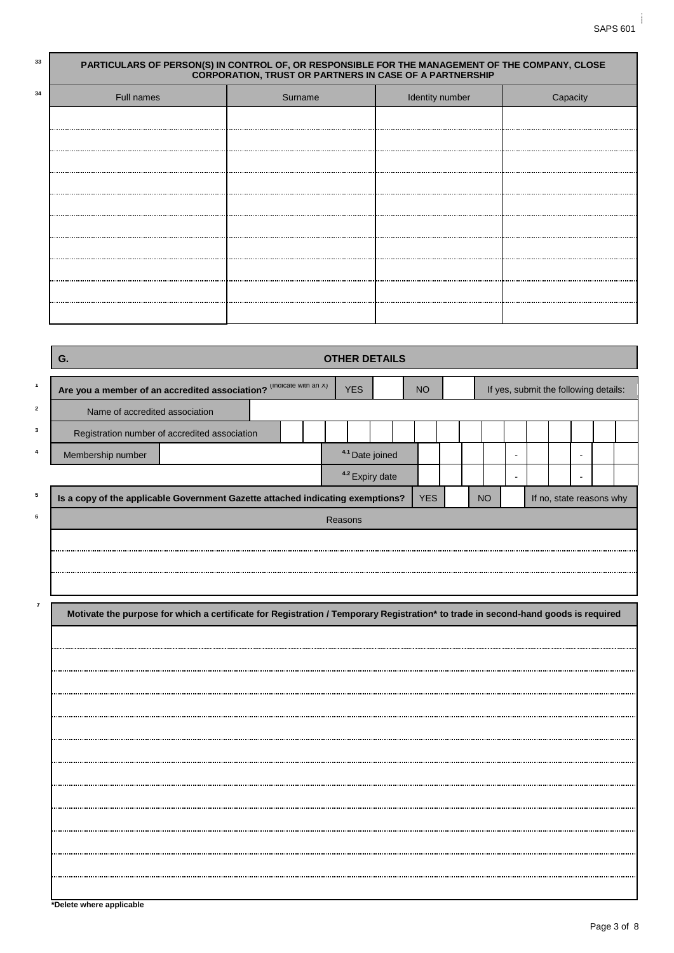## **<sup>33</sup> PARTICULARS OF PERSON(S) IN CONTROL OF, OR RESPONSIBLE FOR THE MANAGEMENT OF THE COMPANY, CLOSE CORPORATION, TRUST OR PARTNERS IN CASE OF A PARTNERSHIP** Full names **Intervention Capacity** Surname **Intervention Capacity** Identity number **Intervention Capacity**

|                | G.<br><b>OTHER DETAILS</b>                                                                                                        |            |                            |            |  |           |  |  |  |                                       |  |  |  |  |
|----------------|-----------------------------------------------------------------------------------------------------------------------------------|------------|----------------------------|------------|--|-----------|--|--|--|---------------------------------------|--|--|--|--|
| $\mathbf{1}$   | Are you a member of an accredited association? (Indicate with an x)                                                               | <b>YES</b> |                            | <b>NO</b>  |  |           |  |  |  | If yes, submit the following details: |  |  |  |  |
| $\mathbf{2}$   | Name of accredited association                                                                                                    |            |                            |            |  |           |  |  |  |                                       |  |  |  |  |
| 3              | Registration number of accredited association                                                                                     |            |                            |            |  |           |  |  |  |                                       |  |  |  |  |
|                | Membership number                                                                                                                 |            | <sup>4.1</sup> Date joined |            |  |           |  |  |  |                                       |  |  |  |  |
|                |                                                                                                                                   |            | <sup>4.2</sup> Expiry date |            |  |           |  |  |  |                                       |  |  |  |  |
| 5              | Is a copy of the applicable Government Gazette attached indicating exemptions?                                                    |            |                            | <b>YES</b> |  | <b>NO</b> |  |  |  | If no, state reasons why              |  |  |  |  |
| 6              | Reasons                                                                                                                           |            |                            |            |  |           |  |  |  |                                       |  |  |  |  |
|                |                                                                                                                                   |            |                            |            |  |           |  |  |  |                                       |  |  |  |  |
|                |                                                                                                                                   |            |                            |            |  |           |  |  |  |                                       |  |  |  |  |
|                |                                                                                                                                   |            |                            |            |  |           |  |  |  |                                       |  |  |  |  |
| $\overline{7}$ | Motivate the purpose for which a certificate for Registration / Temporary Registration* to trade in second-hand goods is required |            |                            |            |  |           |  |  |  |                                       |  |  |  |  |
|                |                                                                                                                                   |            |                            |            |  |           |  |  |  |                                       |  |  |  |  |
|                |                                                                                                                                   |            |                            |            |  |           |  |  |  |                                       |  |  |  |  |
|                |                                                                                                                                   |            |                            |            |  |           |  |  |  |                                       |  |  |  |  |
|                |                                                                                                                                   |            |                            |            |  |           |  |  |  |                                       |  |  |  |  |
|                |                                                                                                                                   |            |                            |            |  |           |  |  |  |                                       |  |  |  |  |
|                |                                                                                                                                   |            |                            |            |  |           |  |  |  |                                       |  |  |  |  |
|                |                                                                                                                                   |            |                            |            |  |           |  |  |  |                                       |  |  |  |  |
|                |                                                                                                                                   |            |                            |            |  |           |  |  |  |                                       |  |  |  |  |
|                |                                                                                                                                   |            |                            |            |  |           |  |  |  |                                       |  |  |  |  |
|                |                                                                                                                                   |            |                            |            |  |           |  |  |  |                                       |  |  |  |  |
|                |                                                                                                                                   |            |                            |            |  |           |  |  |  |                                       |  |  |  |  |
|                |                                                                                                                                   |            |                            |            |  |           |  |  |  |                                       |  |  |  |  |
|                |                                                                                                                                   |            |                            |            |  |           |  |  |  |                                       |  |  |  |  |

**\*Delete where applicable**

 **34**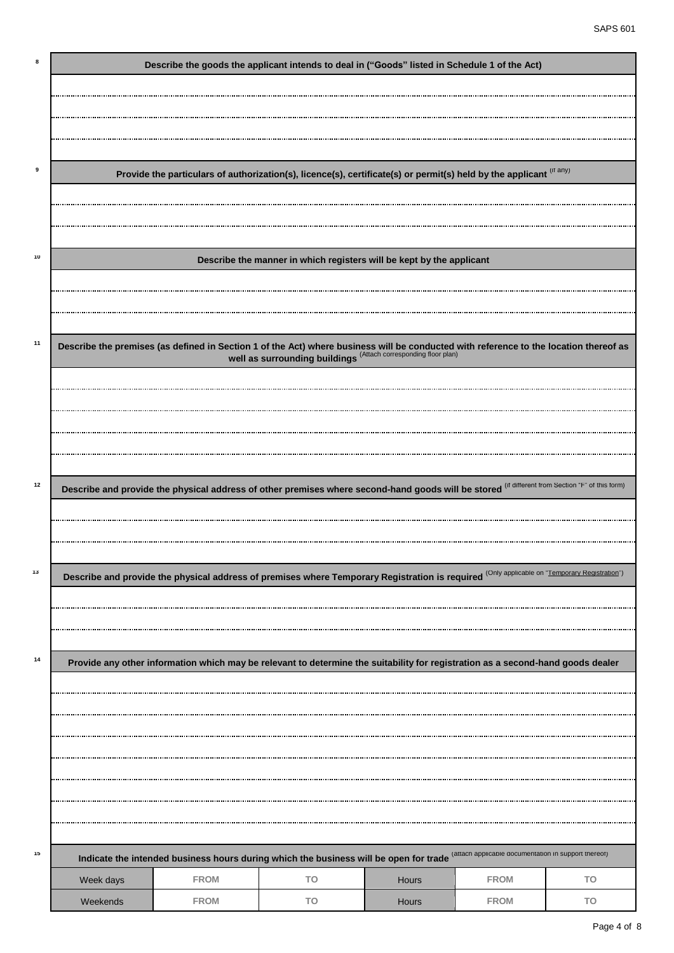| 8  |           | Describe the goods the applicant intends to deal in ("Goods" listed in Schedule 1 of the Act)                                                                                                            |                                                                      |              |             |    |
|----|-----------|----------------------------------------------------------------------------------------------------------------------------------------------------------------------------------------------------------|----------------------------------------------------------------------|--------------|-------------|----|
|    |           |                                                                                                                                                                                                          |                                                                      |              |             |    |
|    |           |                                                                                                                                                                                                          |                                                                      |              |             |    |
|    |           |                                                                                                                                                                                                          |                                                                      |              |             |    |
|    |           |                                                                                                                                                                                                          |                                                                      |              |             |    |
| 9  |           | Provide the particulars of authorization(s), licence(s), certificate(s) or permit(s) held by the applicant (IT any)                                                                                      |                                                                      |              |             |    |
|    |           |                                                                                                                                                                                                          |                                                                      |              |             |    |
|    |           |                                                                                                                                                                                                          |                                                                      |              |             |    |
|    |           |                                                                                                                                                                                                          |                                                                      |              |             |    |
| 10 |           |                                                                                                                                                                                                          | Describe the manner in which registers will be kept by the applicant |              |             |    |
|    |           |                                                                                                                                                                                                          |                                                                      |              |             |    |
|    |           |                                                                                                                                                                                                          |                                                                      |              |             |    |
|    |           |                                                                                                                                                                                                          |                                                                      |              |             |    |
| 11 |           | Describe the premises (as defined in Section 1 of the Act) where business will be conducted with reference to the location thereof as<br>well as surrounding buildings (Attach corresponding floor plan) |                                                                      |              |             |    |
|    |           |                                                                                                                                                                                                          |                                                                      |              |             |    |
|    |           |                                                                                                                                                                                                          |                                                                      |              |             |    |
|    |           |                                                                                                                                                                                                          |                                                                      |              |             |    |
|    |           |                                                                                                                                                                                                          |                                                                      |              |             |    |
|    |           |                                                                                                                                                                                                          |                                                                      |              |             |    |
|    |           |                                                                                                                                                                                                          |                                                                      |              |             |    |
| 12 |           | Describe and provide the physical address of other premises where second-hand goods will be stored (If different from Section "F" of this form)                                                          |                                                                      |              |             |    |
|    |           |                                                                                                                                                                                                          |                                                                      |              |             |    |
|    |           |                                                                                                                                                                                                          |                                                                      |              |             |    |
| 13 |           |                                                                                                                                                                                                          |                                                                      |              |             |    |
|    |           | Describe and provide the physical address of premises where Temporary Registration is required (Only applicable on "Lemporary Registration")                                                             |                                                                      |              |             |    |
|    |           |                                                                                                                                                                                                          |                                                                      |              |             |    |
|    |           |                                                                                                                                                                                                          |                                                                      |              |             |    |
| 14 |           |                                                                                                                                                                                                          |                                                                      |              |             |    |
|    |           | Provide any other information which may be relevant to determine the suitability for registration as a second-hand goods dealer                                                                          |                                                                      |              |             |    |
|    |           |                                                                                                                                                                                                          |                                                                      |              |             |    |
|    |           |                                                                                                                                                                                                          |                                                                      |              |             |    |
|    |           |                                                                                                                                                                                                          |                                                                      |              |             |    |
|    |           |                                                                                                                                                                                                          |                                                                      |              |             |    |
|    |           |                                                                                                                                                                                                          |                                                                      |              |             |    |
|    |           |                                                                                                                                                                                                          |                                                                      |              |             |    |
|    |           |                                                                                                                                                                                                          |                                                                      |              |             |    |
| 15 |           | Indicate the intended business hours during which the business will be open for trade (attach applicable documentation in support thereot)                                                               |                                                                      |              |             |    |
|    | Week days | <b>FROM</b>                                                                                                                                                                                              | TO                                                                   | <b>Hours</b> | <b>FROM</b> | TO |
|    |           |                                                                                                                                                                                                          |                                                                      |              |             |    |
|    | Weekends  | <b>FROM</b>                                                                                                                                                                                              | TO                                                                   | Hours        | <b>FROM</b> | TO |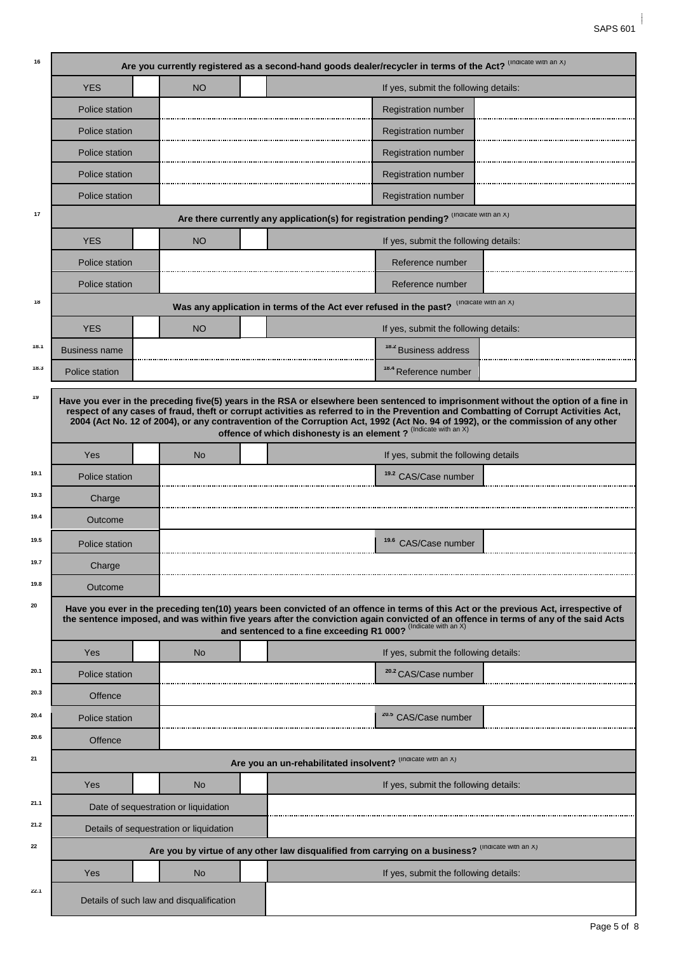| 16   |                                                                                                                                                                                                                                                                                                                                                                                                                                                                                      |                                          | Are you currently registered as a second-hand goods dealer/recycler in terms of the Act? (Indicate with an X)                                                                                                                                                                                                                                |  |  |  |  |  |  |  |  |  |  |
|------|--------------------------------------------------------------------------------------------------------------------------------------------------------------------------------------------------------------------------------------------------------------------------------------------------------------------------------------------------------------------------------------------------------------------------------------------------------------------------------------|------------------------------------------|----------------------------------------------------------------------------------------------------------------------------------------------------------------------------------------------------------------------------------------------------------------------------------------------------------------------------------------------|--|--|--|--|--|--|--|--|--|--|
|      | <b>YES</b>                                                                                                                                                                                                                                                                                                                                                                                                                                                                           | <b>NO</b>                                | If yes, submit the following details:                                                                                                                                                                                                                                                                                                        |  |  |  |  |  |  |  |  |  |  |
|      | Police station                                                                                                                                                                                                                                                                                                                                                                                                                                                                       |                                          | <b>Registration number</b>                                                                                                                                                                                                                                                                                                                   |  |  |  |  |  |  |  |  |  |  |
|      | Police station                                                                                                                                                                                                                                                                                                                                                                                                                                                                       |                                          | <b>Registration number</b>                                                                                                                                                                                                                                                                                                                   |  |  |  |  |  |  |  |  |  |  |
|      | <b>Police station</b>                                                                                                                                                                                                                                                                                                                                                                                                                                                                |                                          | <b>Registration number</b>                                                                                                                                                                                                                                                                                                                   |  |  |  |  |  |  |  |  |  |  |
|      | Police station                                                                                                                                                                                                                                                                                                                                                                                                                                                                       |                                          | <b>Registration number</b>                                                                                                                                                                                                                                                                                                                   |  |  |  |  |  |  |  |  |  |  |
|      | Police station                                                                                                                                                                                                                                                                                                                                                                                                                                                                       |                                          | <b>Registration number</b>                                                                                                                                                                                                                                                                                                                   |  |  |  |  |  |  |  |  |  |  |
| 17   |                                                                                                                                                                                                                                                                                                                                                                                                                                                                                      |                                          | Are there currently any application(s) for registration pending? (Indicate with an X)                                                                                                                                                                                                                                                        |  |  |  |  |  |  |  |  |  |  |
|      | <b>YES</b>                                                                                                                                                                                                                                                                                                                                                                                                                                                                           | <b>NO</b>                                | If yes, submit the following details:                                                                                                                                                                                                                                                                                                        |  |  |  |  |  |  |  |  |  |  |
|      | Police station                                                                                                                                                                                                                                                                                                                                                                                                                                                                       |                                          | Reference number                                                                                                                                                                                                                                                                                                                             |  |  |  |  |  |  |  |  |  |  |
|      | Police station                                                                                                                                                                                                                                                                                                                                                                                                                                                                       |                                          | Reference number                                                                                                                                                                                                                                                                                                                             |  |  |  |  |  |  |  |  |  |  |
| 18   |                                                                                                                                                                                                                                                                                                                                                                                                                                                                                      |                                          | (Indicate with an X)<br>Was any application in terms of the Act ever refused in the past?                                                                                                                                                                                                                                                    |  |  |  |  |  |  |  |  |  |  |
|      | <b>YES</b>                                                                                                                                                                                                                                                                                                                                                                                                                                                                           | <b>NO</b>                                | If yes, submit the following details:                                                                                                                                                                                                                                                                                                        |  |  |  |  |  |  |  |  |  |  |
| 18.1 | <b>Business name</b>                                                                                                                                                                                                                                                                                                                                                                                                                                                                 |                                          | <sup>18.2</sup> Business address                                                                                                                                                                                                                                                                                                             |  |  |  |  |  |  |  |  |  |  |
| 18.3 | Police station                                                                                                                                                                                                                                                                                                                                                                                                                                                                       |                                          | <sup>18.4</sup> Reference number                                                                                                                                                                                                                                                                                                             |  |  |  |  |  |  |  |  |  |  |
| 19   | Have you ever in the preceding five(5) years in the RSA or elsewhere been sentenced to imprisonment without the option of a fine in<br>respect of any cases of fraud, theft or corrupt activities as referred to in the Prevention and Combatting of Corrupt Activities Act,<br>2004 (Act No. 12 of 2004), or any contravention of the Corruption Act, 1992 (Act No. 94 of 1992), or the commission of any other<br>offence of which dishonesty is an element ? (Indicate with an X) |                                          |                                                                                                                                                                                                                                                                                                                                              |  |  |  |  |  |  |  |  |  |  |
|      | Yes                                                                                                                                                                                                                                                                                                                                                                                                                                                                                  | <b>No</b>                                | If yes, submit the following details                                                                                                                                                                                                                                                                                                         |  |  |  |  |  |  |  |  |  |  |
| 19.1 | Police station                                                                                                                                                                                                                                                                                                                                                                                                                                                                       |                                          | <sup>19.2</sup> CAS/Case number                                                                                                                                                                                                                                                                                                              |  |  |  |  |  |  |  |  |  |  |
| 19.3 | Charge                                                                                                                                                                                                                                                                                                                                                                                                                                                                               |                                          |                                                                                                                                                                                                                                                                                                                                              |  |  |  |  |  |  |  |  |  |  |
| 19.4 | Outcome                                                                                                                                                                                                                                                                                                                                                                                                                                                                              |                                          |                                                                                                                                                                                                                                                                                                                                              |  |  |  |  |  |  |  |  |  |  |
| 19.5 | Police station                                                                                                                                                                                                                                                                                                                                                                                                                                                                       |                                          | <sup>19.6</sup> CAS/Case number                                                                                                                                                                                                                                                                                                              |  |  |  |  |  |  |  |  |  |  |
| 19.7 | Charge                                                                                                                                                                                                                                                                                                                                                                                                                                                                               |                                          |                                                                                                                                                                                                                                                                                                                                              |  |  |  |  |  |  |  |  |  |  |
| 19.8 | Outcome                                                                                                                                                                                                                                                                                                                                                                                                                                                                              |                                          |                                                                                                                                                                                                                                                                                                                                              |  |  |  |  |  |  |  |  |  |  |
| 20   |                                                                                                                                                                                                                                                                                                                                                                                                                                                                                      |                                          | Have you ever in the preceding ten(10) years been convicted of an offence in terms of this Act or the previous Act, irrespective of<br>the sentence imposed, and was within five years after the conviction again convicted of an offence in terms of any of the said Acts<br>and sentenced to a fine exceeding R1 000? (Indicate with an X) |  |  |  |  |  |  |  |  |  |  |
|      | Yes                                                                                                                                                                                                                                                                                                                                                                                                                                                                                  | <b>No</b>                                | If yes, submit the following details:                                                                                                                                                                                                                                                                                                        |  |  |  |  |  |  |  |  |  |  |
| 20.1 | Police station                                                                                                                                                                                                                                                                                                                                                                                                                                                                       |                                          | <sup>20.2</sup> CAS/Case number                                                                                                                                                                                                                                                                                                              |  |  |  |  |  |  |  |  |  |  |
| 20.3 | Offence                                                                                                                                                                                                                                                                                                                                                                                                                                                                              |                                          |                                                                                                                                                                                                                                                                                                                                              |  |  |  |  |  |  |  |  |  |  |
| 20.4 | Police station                                                                                                                                                                                                                                                                                                                                                                                                                                                                       |                                          | <sup>20.5</sup> CAS/Case number                                                                                                                                                                                                                                                                                                              |  |  |  |  |  |  |  |  |  |  |
| 20.6 | Offence                                                                                                                                                                                                                                                                                                                                                                                                                                                                              |                                          |                                                                                                                                                                                                                                                                                                                                              |  |  |  |  |  |  |  |  |  |  |
| 21   |                                                                                                                                                                                                                                                                                                                                                                                                                                                                                      |                                          | Are you an un-rehabilitated insolvent? (Indicate with an X)                                                                                                                                                                                                                                                                                  |  |  |  |  |  |  |  |  |  |  |
|      | Yes                                                                                                                                                                                                                                                                                                                                                                                                                                                                                  | <b>No</b>                                | If yes, submit the following details:                                                                                                                                                                                                                                                                                                        |  |  |  |  |  |  |  |  |  |  |
| 21.1 |                                                                                                                                                                                                                                                                                                                                                                                                                                                                                      | Date of sequestration or liquidation     |                                                                                                                                                                                                                                                                                                                                              |  |  |  |  |  |  |  |  |  |  |
| 21.2 |                                                                                                                                                                                                                                                                                                                                                                                                                                                                                      | Details of sequestration or liquidation  |                                                                                                                                                                                                                                                                                                                                              |  |  |  |  |  |  |  |  |  |  |
| 22   |                                                                                                                                                                                                                                                                                                                                                                                                                                                                                      |                                          | Are you by virtue of any other law disqualified from carrying on a business? (Indicate with an X)                                                                                                                                                                                                                                            |  |  |  |  |  |  |  |  |  |  |
|      | Yes                                                                                                                                                                                                                                                                                                                                                                                                                                                                                  | No                                       | If yes, submit the following details:                                                                                                                                                                                                                                                                                                        |  |  |  |  |  |  |  |  |  |  |
| 22.1 |                                                                                                                                                                                                                                                                                                                                                                                                                                                                                      | Details of such law and disqualification |                                                                                                                                                                                                                                                                                                                                              |  |  |  |  |  |  |  |  |  |  |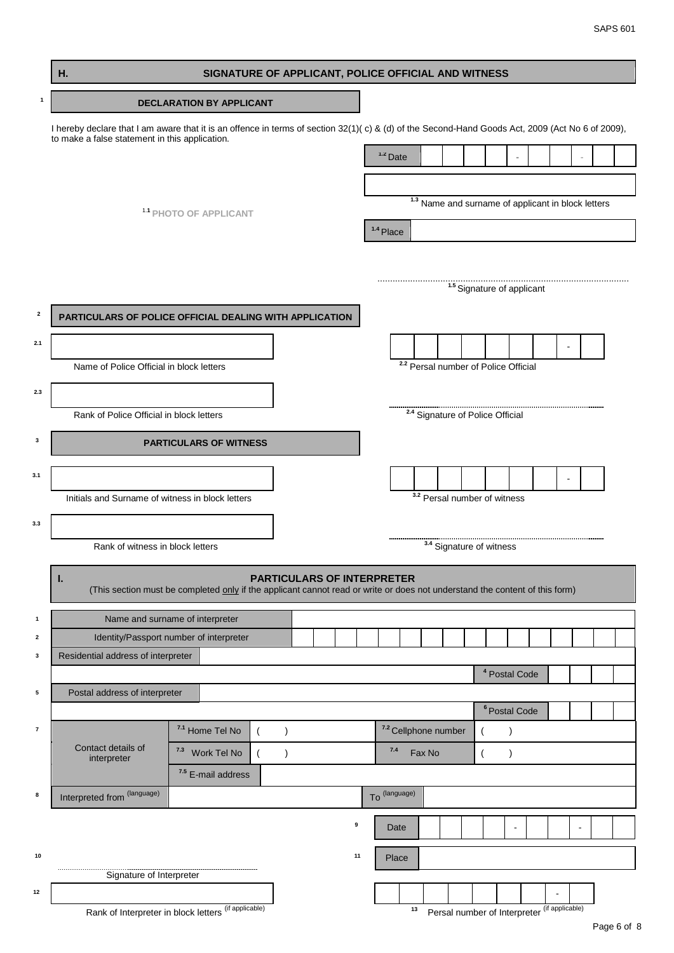|                         | Η.                                                                                                                                                                                                 | SIGNATURE OF APPLICANT, POLICE OFFICIAL AND WITNESS |                                 |  |               |                                   |    |               |    |        |                                                               |                                       |                          |  |  |  |
|-------------------------|----------------------------------------------------------------------------------------------------------------------------------------------------------------------------------------------------|-----------------------------------------------------|---------------------------------|--|---------------|-----------------------------------|----|---------------|----|--------|---------------------------------------------------------------|---------------------------------------|--------------------------|--|--|--|
| $\mathbf{1}$            |                                                                                                                                                                                                    |                                                     | <b>DECLARATION BY APPLICANT</b> |  |               |                                   |    |               |    |        |                                                               |                                       |                          |  |  |  |
|                         | I hereby declare that I am aware that it is an offence in terms of section 32(1)(c) & (d) of the Second-Hand Goods Act, 2009 (Act No 6 of 2009),<br>to make a false statement in this application. |                                                     |                                 |  |               |                                   |    |               |    |        |                                                               |                                       |                          |  |  |  |
|                         |                                                                                                                                                                                                    |                                                     |                                 |  |               |                                   |    | $1.2$ Date    |    |        |                                                               |                                       |                          |  |  |  |
|                         |                                                                                                                                                                                                    |                                                     |                                 |  |               |                                   |    |               |    |        |                                                               |                                       |                          |  |  |  |
|                         |                                                                                                                                                                                                    |                                                     | 1.1 PHOTO OF APPLICANT          |  |               |                                   |    |               |    |        | <sup>1.3</sup> Name and surname of applicant in block letters |                                       |                          |  |  |  |
|                         |                                                                                                                                                                                                    |                                                     |                                 |  |               |                                   |    | 1.4 Place     |    |        |                                                               |                                       |                          |  |  |  |
|                         |                                                                                                                                                                                                    |                                                     |                                 |  |               |                                   |    |               |    |        |                                                               |                                       |                          |  |  |  |
|                         |                                                                                                                                                                                                    |                                                     |                                 |  |               |                                   |    |               |    |        |                                                               | <sup>1.5</sup> Signature of applicant |                          |  |  |  |
| $\overline{\mathbf{2}}$ | PARTICULARS OF POLICE OFFICIAL DEALING WITH APPLICATION                                                                                                                                            |                                                     |                                 |  |               |                                   |    |               |    |        |                                                               |                                       |                          |  |  |  |
|                         |                                                                                                                                                                                                    |                                                     |                                 |  |               |                                   |    |               |    |        |                                                               |                                       |                          |  |  |  |
| 2.1                     | Name of Police Official in block letters                                                                                                                                                           |                                                     |                                 |  |               |                                   |    |               |    |        | <sup>2.2</sup> Persal number of Police Official               |                                       |                          |  |  |  |
|                         |                                                                                                                                                                                                    |                                                     |                                 |  |               |                                   |    |               |    |        |                                                               |                                       |                          |  |  |  |
| 2.3                     | Rank of Police Official in block letters                                                                                                                                                           |                                                     |                                 |  |               |                                   |    |               |    |        | <sup>2.4</sup> Signature of Police Official                   |                                       |                          |  |  |  |
|                         |                                                                                                                                                                                                    |                                                     |                                 |  |               |                                   |    |               |    |        |                                                               |                                       |                          |  |  |  |
| 3                       |                                                                                                                                                                                                    |                                                     | <b>PARTICULARS OF WITNESS</b>   |  |               |                                   |    |               |    |        |                                                               |                                       |                          |  |  |  |
| 3.1                     |                                                                                                                                                                                                    |                                                     |                                 |  |               |                                   |    |               |    |        |                                                               |                                       |                          |  |  |  |
|                         | Initials and Surname of witness in block letters                                                                                                                                                   |                                                     |                                 |  |               |                                   |    |               |    |        | <sup>3.2</sup> Persal number of witness                       |                                       |                          |  |  |  |
| 3.3                     |                                                                                                                                                                                                    |                                                     |                                 |  |               |                                   |    |               |    |        |                                                               |                                       |                          |  |  |  |
|                         | Rank of witness in block letters                                                                                                                                                                   |                                                     |                                 |  |               |                                   |    |               |    |        | <sup>3.4</sup> Signature of witness                           |                                       |                          |  |  |  |
|                         | ı.<br>(This section must be completed only if the applicant cannot read or write or does not understand the content of this form)                                                                  |                                                     |                                 |  |               | <b>PARTICULARS OF INTERPRETER</b> |    |               |    |        |                                                               |                                       |                          |  |  |  |
| 1                       | Name and surname of interpreter                                                                                                                                                                    |                                                     |                                 |  |               |                                   |    |               |    |        |                                                               |                                       |                          |  |  |  |
| 2                       | Identity/Passport number of interpreter                                                                                                                                                            |                                                     |                                 |  |               |                                   |    |               |    |        |                                                               |                                       |                          |  |  |  |
| 3                       | Residential address of interpreter                                                                                                                                                                 |                                                     |                                 |  |               |                                   |    |               |    |        |                                                               |                                       | <sup>4</sup> Postal Code |  |  |  |
| 5                       | Postal address of interpreter                                                                                                                                                                      |                                                     |                                 |  |               |                                   |    |               |    |        |                                                               |                                       |                          |  |  |  |
|                         |                                                                                                                                                                                                    |                                                     |                                 |  |               |                                   |    |               |    |        |                                                               |                                       | <sup>6</sup> Postal Code |  |  |  |
| $\overline{7}$          | Contact details of                                                                                                                                                                                 |                                                     | 7.1 Home Tel No                 |  | $\mathcal{E}$ |                                   |    |               |    |        | 7.2 Cellphone number                                          |                                       | $\lambda$                |  |  |  |
|                         | interpreter                                                                                                                                                                                        | 7.3                                                 | Work Tel No                     |  | $\lambda$     |                                   |    | $7.4$         |    | Fax No |                                                               | $\overline{ }$                        | $\lambda$                |  |  |  |
| 8                       |                                                                                                                                                                                                    |                                                     | <sup>7.5</sup> E-mail address   |  |               |                                   |    | To (language) |    |        |                                                               |                                       |                          |  |  |  |
|                         | Interpreted from (language)                                                                                                                                                                        |                                                     |                                 |  |               |                                   |    |               |    |        |                                                               |                                       |                          |  |  |  |
|                         |                                                                                                                                                                                                    |                                                     |                                 |  |               | 9                                 |    | Date          |    |        |                                                               |                                       |                          |  |  |  |
| 10                      |                                                                                                                                                                                                    |                                                     |                                 |  |               |                                   | 11 | Place         |    |        |                                                               |                                       |                          |  |  |  |
| 12                      | Signature of Interpreter                                                                                                                                                                           |                                                     |                                 |  |               |                                   |    |               |    |        |                                                               |                                       |                          |  |  |  |
|                         | Rank of Interpreter in block letters (if applicable)                                                                                                                                               |                                                     |                                 |  |               |                                   |    |               | 13 |        | Persal number of Interpreter (if applicable)                  |                                       |                          |  |  |  |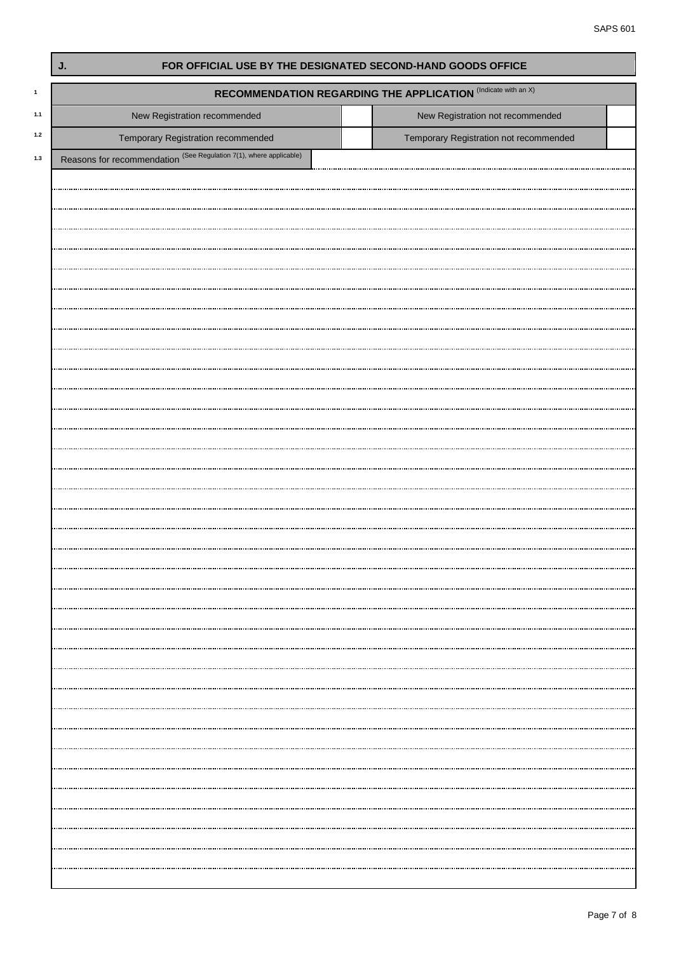| J.                                                                 | FOR OFFICIAL USE BY THE DESIGNATED SECOND-HAND GOODS OFFICE          |  |
|--------------------------------------------------------------------|----------------------------------------------------------------------|--|
|                                                                    | <b>RECOMMENDATION REGARDING THE APPLICATION (Indicate with an X)</b> |  |
| New Registration recommended                                       | New Registration not recommended                                     |  |
| Temporary Registration recommended                                 | Temporary Registration not recommended                               |  |
| Reasons for recommendation (See Regulation 7(1), where applicable) |                                                                      |  |
|                                                                    |                                                                      |  |
|                                                                    |                                                                      |  |
|                                                                    |                                                                      |  |
|                                                                    |                                                                      |  |
|                                                                    |                                                                      |  |
|                                                                    |                                                                      |  |
|                                                                    |                                                                      |  |
|                                                                    |                                                                      |  |
|                                                                    |                                                                      |  |
|                                                                    |                                                                      |  |
|                                                                    |                                                                      |  |
|                                                                    |                                                                      |  |
|                                                                    |                                                                      |  |
|                                                                    |                                                                      |  |
|                                                                    |                                                                      |  |
|                                                                    |                                                                      |  |
|                                                                    |                                                                      |  |
|                                                                    |                                                                      |  |
|                                                                    |                                                                      |  |
|                                                                    |                                                                      |  |
|                                                                    |                                                                      |  |
|                                                                    |                                                                      |  |
|                                                                    |                                                                      |  |
|                                                                    |                                                                      |  |
|                                                                    |                                                                      |  |
|                                                                    |                                                                      |  |
|                                                                    |                                                                      |  |
|                                                                    |                                                                      |  |
|                                                                    |                                                                      |  |
|                                                                    |                                                                      |  |
|                                                                    |                                                                      |  |
|                                                                    |                                                                      |  |
|                                                                    |                                                                      |  |
|                                                                    |                                                                      |  |